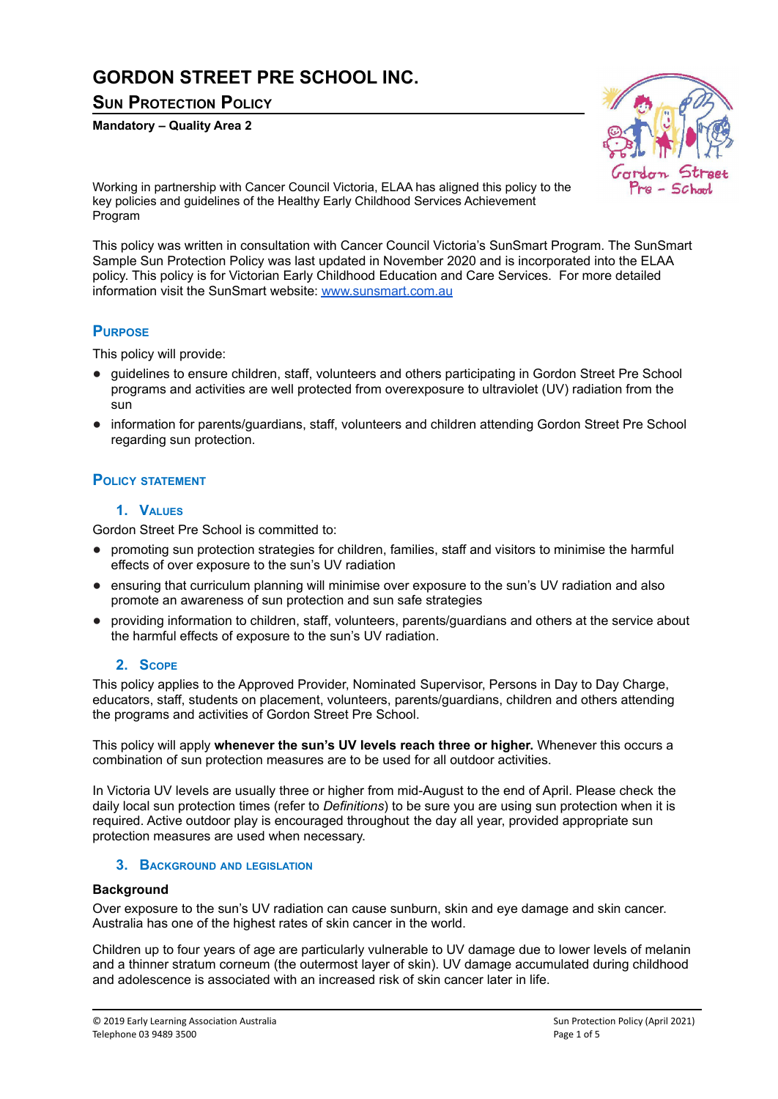# **GORDON STREET PRE SCHOOL INC.**

**SUN PROTECTION POLICY**

**Mandatory – Quality Area 2**



Working in partnership with Cancer Council Victoria, ELAA has aligned this policy to the key policies and guidelines of the Healthy Early Childhood Services Achievement Program

This policy was written in consultation with Cancer Council Victoria's SunSmart Program. The SunSmart Sample Sun Protection Policy was last updated in November 2020 and is incorporated into the ELAA policy. This policy is for Victorian Early Childhood Education and Care Services. For more detailed information visit the SunSmart website: [www.sunsmart.com.au](https://www.sunsmart.com.au/)

# **PURPOSE**

This policy will provide:

- guidelines to ensure children, staff, volunteers and others participating in Gordon Street Pre School programs and activities are well protected from overexposure to ultraviolet (UV) radiation from the sun
- information for parents/guardians, staff, volunteers and children attending Gordon Street Pre School regarding sun protection.

## **POLICY STATEMENT**

### **1. VALUES**

Gordon Street Pre School is committed to:

- promoting sun protection strategies for children, families, staff and visitors to minimise the harmful effects of over exposure to the sun's UV radiation
- ensuring that curriculum planning will minimise over exposure to the sun's UV radiation and also promote an awareness of sun protection and sun safe strategies
- providing information to children, staff, volunteers, parents/guardians and others at the service about the harmful effects of exposure to the sun's UV radiation.

### **2. SCOPE**

This policy applies to the Approved Provider, Nominated Supervisor, Persons in Day to Day Charge, educators, staff, students on placement, volunteers, parents/guardians, children and others attending the programs and activities of Gordon Street Pre School.

This policy will apply **whenever the sun's UV levels reach three or higher.** Whenever this occurs a combination of sun protection measures are to be used for all outdoor activities.

In Victoria UV levels are usually three or higher from mid-August to the end of April. Please check the daily local sun protection times (refer to *Definitions*) to be sure you are using sun protection when it is required. Active outdoor play is encouraged throughout the day all year, provided appropriate sun protection measures are used when necessary.

### **3. BACKGROUND AND LEGISLATION**

### **Background**

Over exposure to the sun's UV radiation can cause sunburn, skin and eye damage and skin cancer. Australia has one of the highest rates of skin cancer in the world.

Children up to four years of age are particularly vulnerable to UV damage due to lower levels of melanin and a thinner stratum corneum (the outermost layer of skin). UV damage accumulated during childhood and adolescence is associated with an increased risk of skin cancer later in life.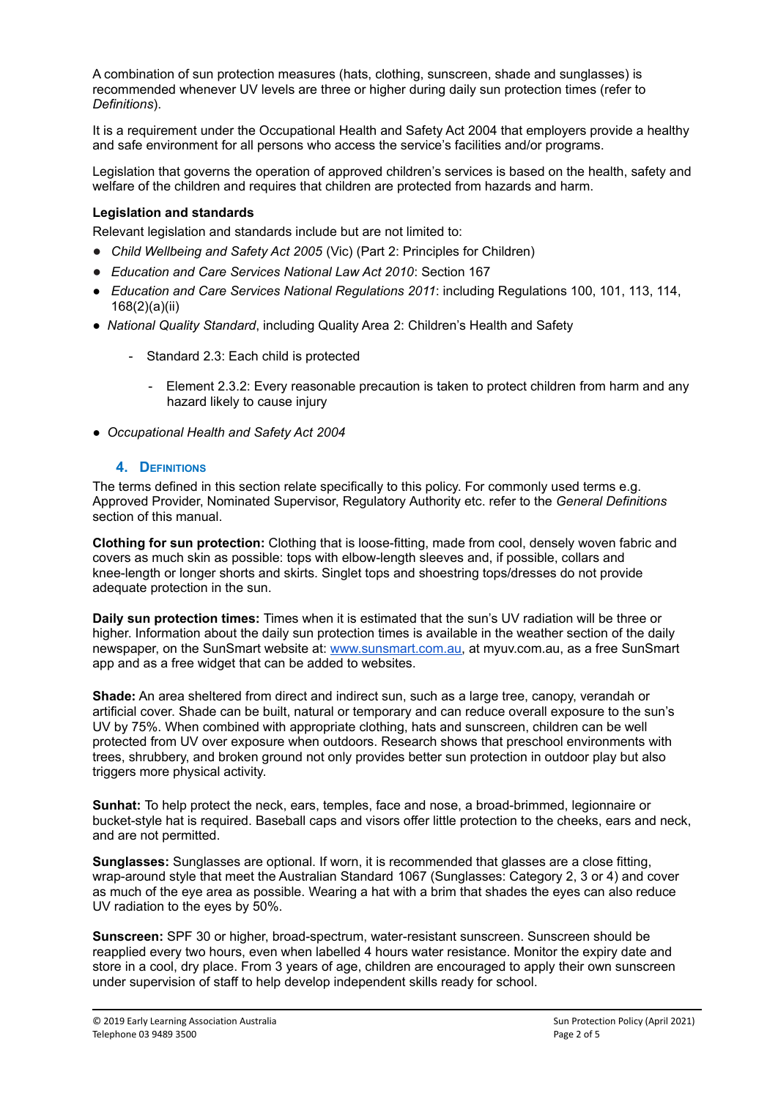A combination of sun protection measures (hats, clothing, sunscreen, shade and sunglasses) is recommended whenever UV levels are three or higher during daily sun protection times (refer to *Definitions*).

It is a requirement under the Occupational Health and Safety Act 2004 that employers provide a healthy and safe environment for all persons who access the service's facilities and/or programs.

Legislation that governs the operation of approved children's services is based on the health, safety and welfare of the children and requires that children are protected from hazards and harm.

### **Legislation and standards**

Relevant legislation and standards include but are not limited to:

- *Child Wellbeing and Safety Act 2005* (Vic) (Part 2: Principles for Children)
- *Education and Care Services National Law Act 2010*: Section 167
- *● Education and Care Services National Regulations 2011*: including Regulations 100, 101, 113, 114, 168(2)(a)(ii)
- *National Quality Standard*, including Quality Area 2: Children's Health and Safety
	- Standard 2.3: Each child is protected
		- Element 2.3.2: Every reasonable precaution is taken to protect children from harm and any hazard likely to cause injury
- *Occupational Health and Safety Act 2004*

### **4. DEFINITIONS**

The terms defined in this section relate specifically to this policy. For commonly used terms e.g. Approved Provider, Nominated Supervisor, Regulatory Authority etc. refer to the *General Definitions* section of this manual.

**Clothing for sun protection:** Clothing that is loose-fitting, made from cool, densely woven fabric and covers as much skin as possible: tops with elbow-length sleeves and, if possible, collars and knee-length or longer shorts and skirts. Singlet tops and shoestring tops/dresses do not provide adequate protection in the sun.

**Daily sun protection times:** Times when it is estimated that the sun's UV radiation will be three or higher. Information about the daily sun protection times is available in the weather section of the daily newspaper, on the SunSmart website at: [www.sunsmart.com.au,](http://www.sunsmart.com.au/) at myuv.com.au, as a free SunSmart app and as a free widget that can be added to websites.

**Shade:** An area sheltered from direct and indirect sun, such as a large tree, canopy, verandah or artificial cover. Shade can be built, natural or temporary and can reduce overall exposure to the sun's UV by 75%. When combined with appropriate clothing, hats and sunscreen, children can be well protected from UV over exposure when outdoors. Research shows that preschool environments with trees, shrubbery, and broken ground not only provides better sun protection in outdoor play but also triggers more physical activity.

**Sunhat:** To help protect the neck, ears, temples, face and nose, a broad-brimmed, legionnaire or bucket-style hat is required. Baseball caps and visors offer little protection to the cheeks, ears and neck, and are not permitted.

**Sunglasses:** Sunglasses are optional. If worn, it is recommended that glasses are a close fitting, wrap-around style that meet the Australian Standard 1067 (Sunglasses: Category 2, 3 or 4) and cover as much of the eye area as possible. Wearing a hat with a brim that shades the eyes can also reduce UV radiation to the eyes by 50%.

**Sunscreen:** SPF 30 or higher, broad-spectrum, water-resistant sunscreen. Sunscreen should be reapplied every two hours, even when labelled 4 hours water resistance. Monitor the expiry date and store in a cool, dry place. From 3 years of age, children are encouraged to apply their own sunscreen under supervision of staff to help develop independent skills ready for school.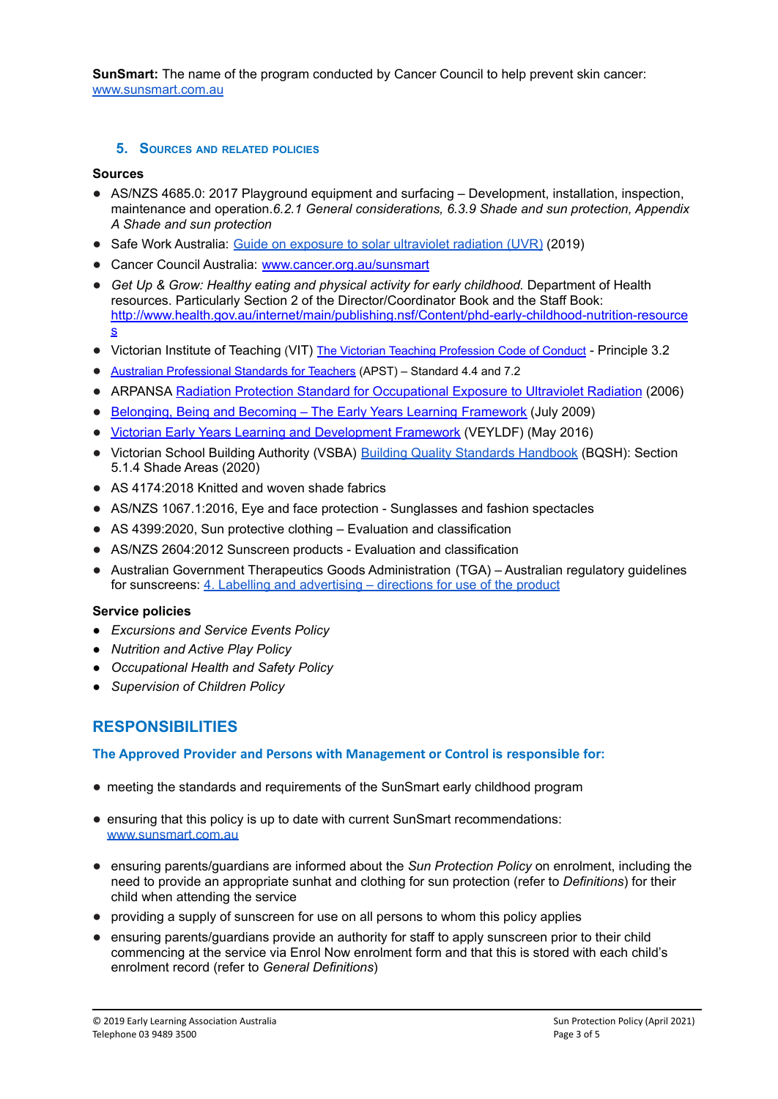**SunSmart[:](http://www.sunsmart.com.au/)** The name of the program conducted by Cancer Council to help prevent skin cancer: [www.sunsmart.com.au](http://www.sunsmart.com.au/)

### **5. SOURCES AND RELATED POLICIES**

### **Sources**

- AS/NZS 4685.0: 2017 Playground equipment and surfacing Development, installation, inspection, maintenance and operation.*6.2.1 General considerations, 6.3.9 Shade and sun protection, Appendix A Shade and sun protection*
- Safe Work Australia: Guide on exposure to solar [ultraviolet](https://www.safeworkaustralia.gov.au/system/files/documents/2001/guide-exposure-solar-ultraviolet-radiation_1.pdf) radiation (UVR) (2019)
- Cancer Council Australia: [www.cancer.org.au/sunsmart](http://www.cancer.org.au/sunsmart)
- *Get Up & Grow: Healthy eating and physical activity for early childhood.* Department of Health resources. Particularly Section 2 of the Director/Coordinator Book and the Staff Book: [http://www.health.gov.au/internet/main/publishing.nsf/Content/phd-early-childhood-nutrition-resource](http://www.health.gov.au/internet/main/publishing.nsf/Content/phd-early-childhood-nutrition-resources) [s](http://www.health.gov.au/internet/main/publishing.nsf/Content/phd-early-childhood-nutrition-resources)
- Victorian Institute of Teaching (VIT) The Victorian [Teaching Profession Code of Conduct](http://www.vit.vic.edu.au/__data/assets/pdf_file/0018/35604/Code-of-Conduct-2016.pdf) Principle 3.2
- [Australian Professional Standards for Teachers](http://www.vit.vic.edu.au/__data/assets/pdf_file/0005/38678/Opportunities-for-demonstrating-the-APST-through-Inquiry-approach.pdf) (APST) Standard 4.4 and 7.2
- ARPANSA Radiation Protection Standard for [Occupational](http://www.arpansa.gov.au/pubs/rps/rps12.pdf) Exposure to Ultraviolet Radiation (2006)
- Belonging, Being and Becoming The Early Years Learning [Framework](https://www.education.gov.au/early-years-learning-framework) (July 2009)
- Victorian Early Years Learning and [Development](http://www.education.vic.gov.au/childhood/providers/edcare/pages/veyladf.aspx?Redirect=1) Framework (VEYLDF) (May 2016)
- Victorian School Building Authority (VSBA) Building Quality Standards [Handbook](https://www.education.vic.gov.au/Documents/school/principals/infrastructure/vsba-building-quality-handbook.pdf) (BQSH): Section 5.1.4 Shade Areas (2020)
- AS 4174:2018 Knitted and woven shade fabrics
- AS/NZS 1067.1:2016, Eve and face protection Sunglasses and fashion spectacles
- AS 4399:2020, Sun protective clothing Evaluation and classification
- AS/NZS 2604:2012 Sunscreen products Evaluation and classification
- Australian Government Therapeutics Goods Administration (TGA) Australian regulatory guidelines for sunscreens: 4. Labelling and [advertising](https://www.tga.gov.au/book/4-labelling-and-advertising) – directions for use of the product

### **Service policies**

- *● Excursions and Service Events Policy*
- *● Nutrition and Active Play Policy*
- *● Occupational Health and Safety Policy*
- *● Supervision of Children Policy*

# **RESPONSIBILITIES**

### **The Approved Provider and Persons with Management or Control is responsible for:**

- meeting the standards and requirements of the SunSmart early childhood program
- ensuring that this policy is up to date with current SunSmart recommendations: [www.sunsmart.com.au](http://www.sunsmart.com.au/)
- ensuring parents/guardians are informed about the *Sun Protection Policy* on enrolment, including the need to provide an appropriate sunhat and clothing for sun protection (refer to *Definitions*) for their child when attending the service
- providing a supply of sunscreen for use on all persons to whom this policy applies
- ensuring parents/guardians provide an authority for staff to apply sunscreen prior to their child commencing at the service via Enrol Now enrolment form and that this is stored with each child's enrolment record (refer to *General Definitions*)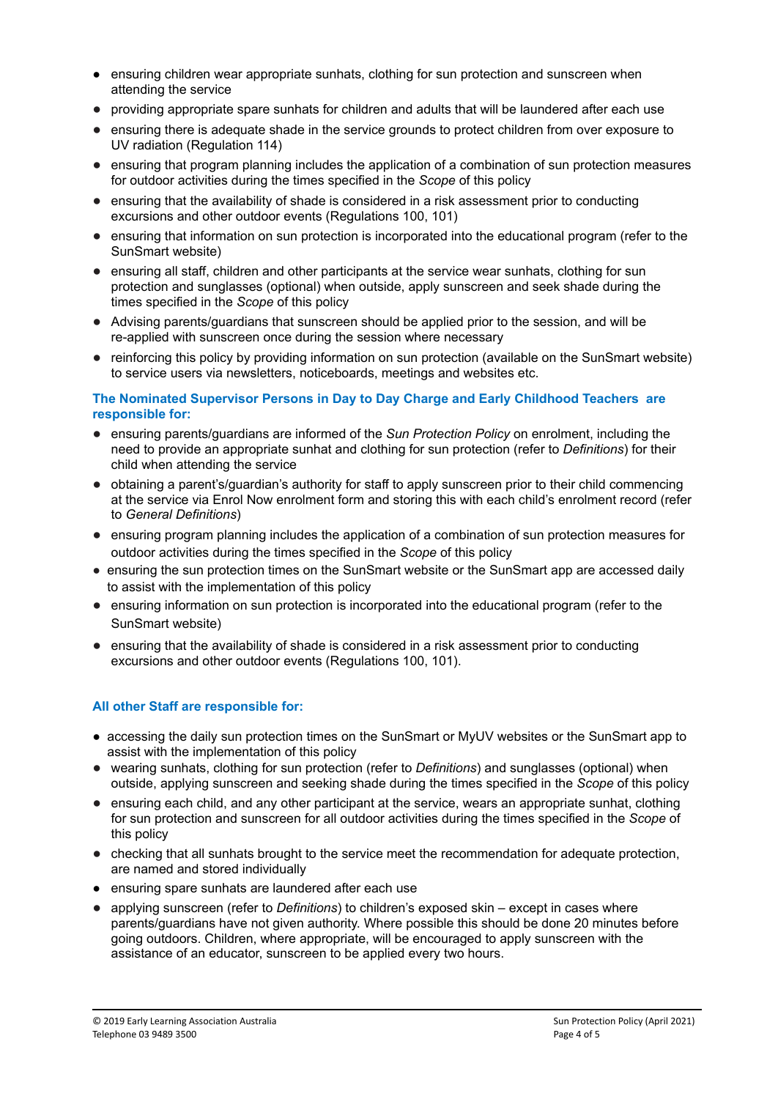- ensuring children wear appropriate sunhats, clothing for sun protection and sunscreen when attending the service
- providing appropriate spare sunhats for children and adults that will be laundered after each use
- ensuring there is adequate shade in the service grounds to protect children from over exposure to UV radiation (Regulation 114)
- ensuring that program planning includes the application of a combination of sun protection measures for outdoor activities during the times specified in the *Scope* of this policy
- ensuring that the availability of shade is considered in a risk assessment prior to conducting excursions and other outdoor events (Regulations 100, 101)
- ensuring that information on sun protection is incorporated into the educational program (refer to the SunSmart website)
- ensuring all staff, children and other participants at the service wear sunhats, clothing for sun protection and sunglasses (optional) when outside, apply sunscreen and seek shade during the times specified in the *Scope* of this policy
- Advising parents/guardians that sunscreen should be applied prior to the session, and will be re-applied with sunscreen once during the session where necessary
- reinforcing this policy by providing information on sun protection (available on the SunSmart website) to service users via newsletters, noticeboards, meetings and websites etc.

### **The Nominated Supervisor Persons in Day to Day Charge and Early Childhood Teachers are responsible for:**

- ensuring parents/guardians are informed of the *Sun Protection Policy* on enrolment, including the need to provide an appropriate sunhat and clothing for sun protection (refer to *Definitions*) for their child when attending the service
- obtaining a parent's/guardian's authority for staff to apply sunscreen prior to their child commencing at the service via Enrol Now enrolment form and storing this with each child's enrolment record (refer to *General Definitions*)
- ensuring program planning includes the application of a combination of sun protection measures for outdoor activities during the times specified in the *Scope* of this policy
- ensuring the sun protection times on the SunSmart website or the SunSmart app are accessed daily to assist with the implementation of this policy
- ensuring information on sun protection is incorporated into the educational program (refer to the SunSmart website)
- ensuring that the availability of shade is considered in a risk assessment prior to conducting excursions and other outdoor events (Regulations 100, 101).

### **All other Staff are responsible for:**

- accessing the daily sun protection times on the SunSmart or MyUV websites or the SunSmart app to assist with the implementation of this policy
- wearing sunhats, clothing for sun protection (refer to *Definitions*) and sunglasses (optional) when outside, applying sunscreen and seeking shade during the times specified in the *Scope* of this policy
- ensuring each child, and any other participant at the service, wears an appropriate sunhat, clothing for sun protection and sunscreen for all outdoor activities during the times specified in the *Scope* of this policy
- checking that all sunhats brought to the service meet the recommendation for adequate protection, are named and stored individually
- ensuring spare sunhats are laundered after each use
- applying sunscreen (refer to *Definitions*) to children's exposed skin except in cases where parents/guardians have not given authority. Where possible this should be done 20 minutes before going outdoors. Children, where appropriate, will be encouraged to apply sunscreen with the assistance of an educator, sunscreen to be applied every two hours.